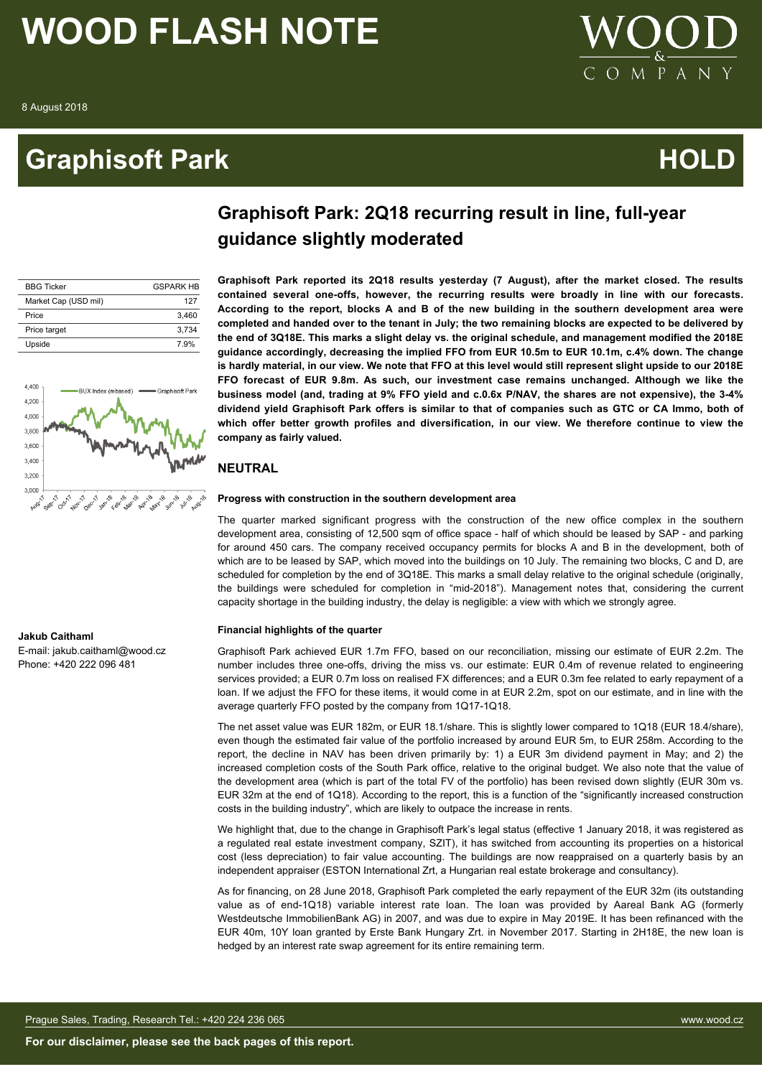### **Graphisoft Park Community Community Community Community Community Community Community Community Community Comm**



### **Graphisoft Park: 2Q18 recurring result in line, full-year guidance slightly moderated**

| <b>BBG Ticker</b>    | <b>GSPARK HB</b> |
|----------------------|------------------|
| Market Cap (USD mil) | 127              |
| Price                | 3.460            |
| Price target         | 3.734            |
| Upside               | 7.9%             |



**Graphisoft Park reported its 2Q18 results yesterday (7 August), after the market closed. The results contained several one-offs, however, the recurring results were broadly in line with our forecasts. According to the report, blocks A and B of the new building in the southern development area were completed and handed over to the tenant in July; the two remaining blocks are expected to be delivered by the end of 3Q18E. This marks a slight delay vs. the original schedule, and management modified the 2018E guidance accordingly, decreasing the implied FFO from EUR 10.5m to EUR 10.1m, c.4% down. The change is hardly material, in our view. We note that FFO at this level would still represent slight upside to our 2018E FFO forecast of EUR 9.8m. As such, our investment case remains unchanged. Although we like the business model (and, trading at 9% FFO yield and c.0.6x P/NAV, the shares are not expensive), the 3-4% dividend yield Graphisoft Park offers is similar to that of companies such as GTC or CA Immo, both of which offer better growth profiles and diversification, in our view. We therefore continue to view the company as fairly valued.**

### **NEUTRAL**

### **Progress with construction in the southern development area**

The quarter marked significant progress with the construction of the new office complex in the southern development area, consisting of 12,500 sqm of office space - half of which should be leased by SAP - and parking for around 450 cars. The company received occupancy permits for blocks A and B in the development, both of which are to be leased by SAP, which moved into the buildings on 10 July. The remaining two blocks, C and D, are scheduled for completion by the end of 3Q18E. This marks a small delay relative to the original schedule (originally, the buildings were scheduled for completion in "mid-2018"). Management notes that, considering the current capacity shortage in the building industry, the delay is negligible: a view with which we strongly agree.

### **Financial highlights of the quarter**

Graphisoft Park achieved EUR 1.7m FFO, based on our reconciliation, missing our estimate of EUR 2.2m. The number includes three one-offs, driving the miss vs. our estimate: EUR 0.4m of revenue related to engineering services provided; a EUR 0.7m loss on realised FX differences; and a EUR 0.3m fee related to early repayment of a loan. If we adjust the FFO for these items, it would come in at EUR 2.2m, spot on our estimate, and in line with the average quarterly FFO posted by the company from 1Q17-1Q18.

The net asset value was EUR 182m, or EUR 18.1/share. This is slightly lower compared to 1Q18 (EUR 18.4/share), even though the estimated fair value of the portfolio increased by around EUR 5m, to EUR 258m. According to the report, the decline in NAV has been driven primarily by: 1) a EUR 3m dividend payment in May; and 2) the increased completion costs of the South Park office, relative to the original budget. We also note that the value of the development area (which is part of the total FV of the portfolio) has been revised down slightly (EUR 30m vs. EUR 32m at the end of 1Q18). According to the report, this is a function of the "significantly increased construction costs in the building industry", which are likely to outpace the increase in rents.

We highlight that, due to the change in Graphisoft Park's legal status (effective 1 January 2018, it was registered as a regulated real estate investment company, SZIT), it has switched from accounting its properties on a historical cost (less depreciation) to fair value accounting. The buildings are now reappraised on a quarterly basis by an independent appraiser (ESTON International Zrt, a Hungarian real estate brokerage and consultancy).

As for financing, on 28 June 2018, Graphisoft Park completed the early repayment of the EUR 32m (its outstanding value as of end-1Q18) variable interest rate loan. The loan was provided by Aareal Bank AG (formerly Westdeutsche ImmobilienBank AG) in 2007, and was due to expire in May 2019E. It has been refinanced with the EUR 40m, 10Y loan granted by Erste Bank Hungary Zrt. in November 2017. Starting in 2H18E, the new loan is hedged by an interest rate swap agreement for its entire remaining term.

### **Jakub Caithaml**

E-mail: jakub.caithaml@wood.cz Phone: +420 222 096 481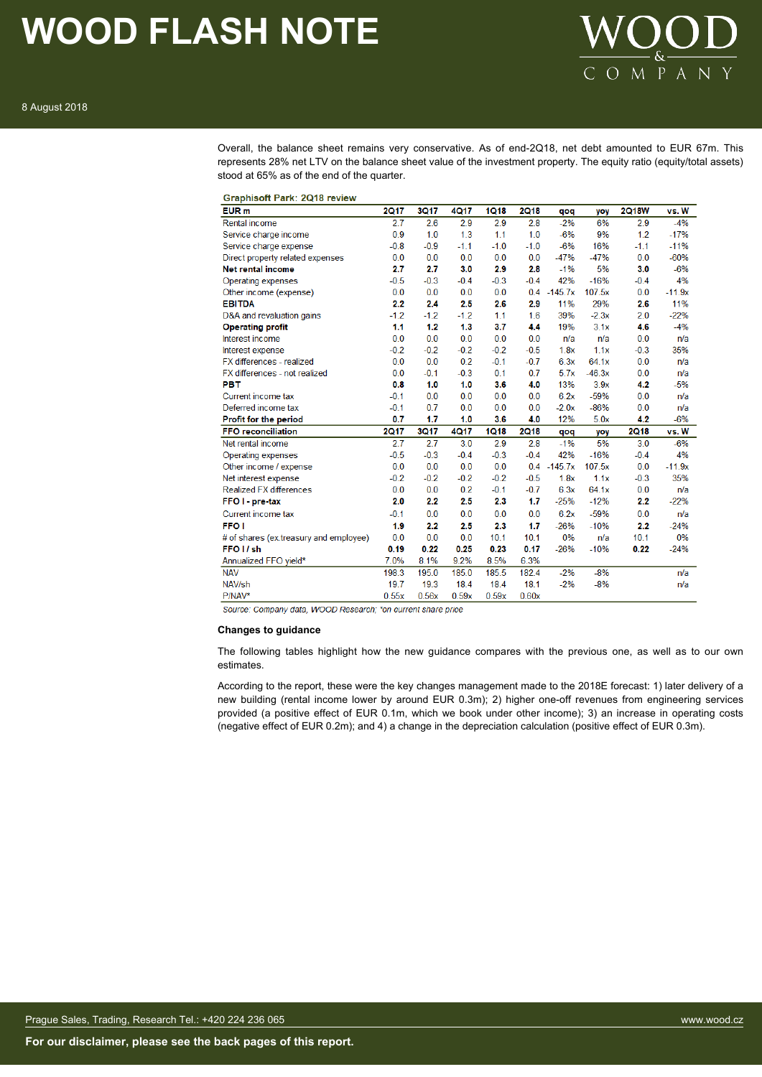

Overall, the balance sheet remains very conservative. As of end-2Q18, net debt amounted to EUR 67m. This represents 28% net LTV on the balance sheet value of the investment property. The equity ratio (equity/total assets) stood at 65% as of the end of the quarter.

| Graphisoft Park: 2Q18 review |  |  |  |  |
|------------------------------|--|--|--|--|
|------------------------------|--|--|--|--|

| EUR <sub>m</sub>                       | <b>2Q17</b> | 3Q17   | 4Q17   | <b>1Q18</b> | <b>2Q18</b> | pop       | yoy      | <b>2Q18W</b> | vs. W    |
|----------------------------------------|-------------|--------|--------|-------------|-------------|-----------|----------|--------------|----------|
| <b>Rental income</b>                   | 2.7         | 2.6    | 2.9    | 2.9         | 2.8         | $-2%$     | 6%       | 2.9          | $-4%$    |
| Service charge income                  | 0.9         | 1.0    | 1.3    | 1.1         | 1.0         | $-6%$     | 9%       | 1.2          | $-17%$   |
| Service charge expense                 | $-0.8$      | $-0.9$ | $-1.1$ | $-1.0$      | $-1.0$      | $-6%$     | 16%      | $-1.1$       | $-11%$   |
| Direct property related expenses       | 0.0         | 0.0    | 0.0    | 0.0         | 0.0         | $-47%$    | $-47%$   | 0.0          | $-60%$   |
| <b>Net rental income</b>               | 2.7         | 2.7    | 3.0    | 2.9         | 2.8         | $-1%$     | 5%       | 3.0          | $-6%$    |
| Operating expenses                     | $-0.5$      | $-0.3$ | $-0.4$ | $-0.3$      | $-0.4$      | 42%       | $-16%$   | $-0.4$       | 4%       |
| Other income (expense)                 | 0.0         | 0.0    | 0.0    | 0.0         | 0.4         | $-145.7x$ | 107.5x   | 0.0          | $-11.9x$ |
| <b>EBITDA</b>                          | 2.2         | 2.4    | 2.5    | 2.6         | 2.9         | 11%       | 29%      | 2.6          | 11%      |
| D&A and revaluation gains              | $-1.2$      | $-1.2$ | $-1.2$ | 1.1         | 1.6         | 39%       | $-2.3x$  | 2.0          | $-22%$   |
| <b>Operating profit</b>                | 1.1         | 1.2    | 1.3    | 3.7         | 4.4         | 19%       | 3.1x     | 4.6          | $-4%$    |
| Interest income                        | 0.0         | 0.0    | 0.0    | 0.0         | 0.0         | n/a       | n/a      | 0.0          | n/a      |
| Interest expense                       | $-0.2$      | $-0.2$ | $-0.2$ | $-0.2$      | $-0.5$      | 1.8x      | 1.1x     | $-0.3$       | 35%      |
| FX differences - realized              | 0.0         | 0.0    | 0.2    | $-0.1$      | $-0.7$      | 6.3x      | 64.1x    | 0.0          | n/a      |
| FX differences - not realized          | 0.0         | $-0.1$ | $-0.3$ | 0.1         | 0.7         | 5.7x      | $-46.3x$ | 0.0          | n/a      |
| <b>PBT</b>                             | 0.8         | 1.0    | 1.0    | 3.6         | 4.0         | 13%       | 3.9x     | 4.2          | $-5%$    |
| Current income tax                     | $-0.1$      | 0.0    | 0.0    | 0.0         | 0.0         | 6.2x      | $-59%$   | 0.0          | n/a      |
| Deferred income tax                    | $-0.1$      | 0.7    | 0.0    | 0.0         | 0.0         | $-2.0x$   | $-86%$   | 0.0          | n/a      |
| Profit for the period                  | 0.7         | 1.7    | 1.0    | 3.6         | 4.0         | 12%       | 5.0x     | 4.2          | $-6%$    |
| <b>FFO reconciliation</b>              | <b>2Q17</b> | 3Q17   | 4Q17   | <b>1Q18</b> | <b>2Q18</b> | qoq       | yoy      | <b>2Q18</b>  | vs. W    |
| Net rental income                      | 2.7         | 2.7    | 3.0    | 2.9         | 2.8         | $-1%$     | 5%       | 3.0          | $-6%$    |
| Operating expenses                     | $-0.5$      | $-0.3$ | $-0.4$ | $-0.3$      | $-0.4$      | 42%       | $-16%$   | $-0.4$       | 4%       |
| Other income / expense                 | 0.0         | 0.0    | 0.0    | 0.0         | 0.4         | $-145.7x$ | 107.5x   | 0.0          | $-11.9x$ |
| Net interest expense                   | $-0.2$      | $-0.2$ | $-0.2$ | $-0.2$      | $-0.5$      | 1.8x      | 1.1x     | $-0.3$       | 35%      |
| <b>Realized FX differences</b>         | 0.0         | 0.0    | 0.2    | $-0.1$      | $-0.7$      | 6.3x      | 64.1x    | 0.0          | n/a      |
| FFO I - pre-tax                        | 2.0         | 2.2    | 2.5    | 2.3         | 1.7         | $-25%$    | $-12%$   | 2.2          | $-22%$   |
| Current income tax                     | $-0.1$      | 0.0    | 0.0    | 0.0         | 0.0         | 6.2x      | $-59%$   | 0.0          | n/a      |
| <b>FFO1</b>                            | 1.9         | 2.2    | 2.5    | 2.3         | 1.7         | $-26%$    | $-10%$   | 2.2          | $-24%$   |
| # of shares (ex.treasury and employee) | 0.0         | 0.0    | 0.0    | 10.1        | 10.1        | 0%        | n/a      | 10.1         | 0%       |
| FFO <sub>I</sub> /sh                   | 0.19        | 0.22   | 0.25   | 0.23        | 0.17        | $-26%$    | $-10%$   | 0.22         | $-24%$   |
| Annualized FFO yield*                  | 7.0%        | 8.1%   | 9.2%   | 8.5%        | 6.3%        |           |          |              |          |
| <b>NAV</b>                             | 198.3       | 195.0  | 185.0  | 185.5       | 182.4       | $-2%$     | $-8%$    |              | n/a      |
| NAV/sh                                 | 19.7        | 19.3   | 18.4   | 18.4        | 18.1        | $-2%$     | $-8%$    |              | n/a      |
| P/NAV*                                 | 0.55x       | 0.56x  | 0.59x  | 0.59x       | 0.60x       |           |          |              |          |

Source: Company data, WOOD Research; \*on current share price

### **Changes to guidance**

The following tables highlight how the new guidance compares with the previous one, as well as to our own estimates.

According to the report, these were the key changes management made to the 2018E forecast: 1) later delivery of a new building (rental income lower by around EUR 0.3m); 2) higher one-off revenues from engineering services provided (a positive effect of EUR 0.1m, which we book under other income); 3) an increase in operating costs (negative effect of EUR 0.2m); and 4) a change in the depreciation calculation (positive effect of EUR 0.3m).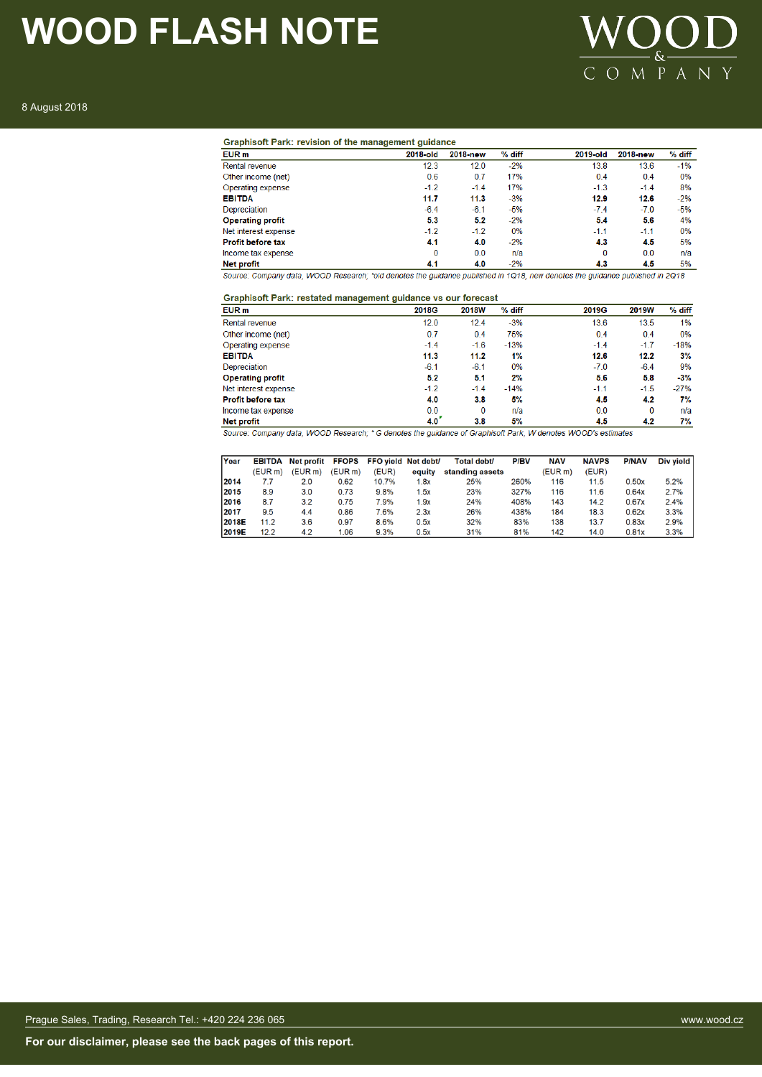

8 August 2018

| EUR <sub>m</sub>         | 2018-old | 2018-new | % diff | 2019-old | 2018-new | % diff |
|--------------------------|----------|----------|--------|----------|----------|--------|
| Rental revenue           | 12.3     | 12.0     | $-2%$  | 13.8     | 13.6     | $-1%$  |
| Other income (net)       | 0.6      | 0.7      | 17%    | 0.4      | 0.4      | 0%     |
| Operating expense        | $-1.2$   | $-1.4$   | 17%    | $-1.3$   | $-1.4$   | 8%     |
| <b>EBITDA</b>            | 11.7     | 11.3     | $-3%$  | 12.9     | 12.6     | $-2%$  |
| Depreciation             | $-6.4$   | $-6.1$   | $-5%$  | $-7.4$   | $-7.0$   | $-5%$  |
| <b>Operating profit</b>  | 5.3      | 5.2      | $-2%$  | 5.4      | 5.6      | 4%     |
| Net interest expense     | $-1.2$   | $-1.2$   | 0%     | $-1.1$   | $-1.1$   | 0%     |
| <b>Profit before tax</b> | 4.1      | 4.0      | $-2%$  | 4.3      | 4.5      | 5%     |
| Income tax expense       | 0        | 0.0      | n/a    | $\Omega$ | 0.0      | n/a    |
| <b>Net profit</b>        | 4.1      | 4.0      | $-2%$  | 4.3      | 4.5      | 5%     |

Source: Company data, WOOD Research; \*old denotes the guidance published in 1Q18, new denotes the guidance published in 2Q18

### Graphisoft Park: restated management guidance vs our forecast

| <b>2018W</b> | $%$ diff | 2019G  | 2019W    | % diff                                                                                                         |
|--------------|----------|--------|----------|----------------------------------------------------------------------------------------------------------------|
| 12.4         | $-3%$    | 13.6   | 13.5     | 1%                                                                                                             |
| 0.4          | 75%      | 0.4    | 0.4      | 0%                                                                                                             |
| $-1.6$       | $-13%$   | $-1.4$ | $-1.7$   | $-18%$                                                                                                         |
| 11.2         | 1%       | 12.6   | 12.2     | 3%                                                                                                             |
| $-6.1$       | 0%       | $-7.0$ | $-6.4$   | 9%                                                                                                             |
| 5.1          | 2%       | 5.6    | 5.8      | $-3%$                                                                                                          |
| $-1.4$       | $-14%$   | $-1.1$ | $-1.5$   | $-27%$                                                                                                         |
| 3.8          | 5%       | 4.5    | 4.2      | 7%                                                                                                             |
| 0            | n/a      | 0.0    | $\Omega$ | n/a                                                                                                            |
| 3.8          | 5%       | 4.5    | 4.2      | 7%                                                                                                             |
|              |          |        |          | Course: Company data, HIGOD Descende: * O denotes the mulderes of Creating# Dark, HI denotes HIGODIs estimates |

Source: Company data, WOOD Research; \* G denotes the guidance of Graphisoft Park, W denotes WOOD's estimates

| Year  |                     | EBITDA Net profit FFOPS FFO yield Net debt/ |         |       |        | Total debt/     | <b>P/BV</b> | <b>NAV</b> | <b>NAVPS</b> | <b>P/NAV</b> | Div yield |
|-------|---------------------|---------------------------------------------|---------|-------|--------|-----------------|-------------|------------|--------------|--------------|-----------|
|       | (EUR <sub>m</sub> ) | (EUR m)                                     | (EUR m) | (EUR) | equity | standing assets |             | (EUR m)    | (EUR)        |              |           |
| 2014  | 7.7                 | 2.0                                         | 0.62    | 10.7% | 1.8x   | 25%             | 260%        | 116        | 11.5         | 0.50x        | 5.2%      |
| 2015  | 8.9                 | 3.0                                         | 0.73    | 9.8%  | 1.5x   | 23%             | 327%        | 116        | 11.6         | 0.64x        | 2.7%      |
| 2016  | 8.7                 | 3.2                                         | 0.75    | 7.9%  | 1.9x   | 24%             | 408%        | 143        | 14.2         | 0.67x        | 2.4%      |
| 2017  | 9.5                 | 4.4                                         | 0.86    | 7.6%  | 2.3x   | 26%             | 438%        | 184        | 18.3         | 0.62x        | 3.3%      |
| 2018E | 11.2                | 3.6                                         | 0.97    | 8.6%  | 0.5x   | 32%             | 83%         | 138        | 13.7         | 0.83x        | 2.9%      |
| 2019E | 12.2                | 4.2                                         | 1.06    | 9.3%  | 0.5x   | 31%             | 81%         | 142        | 14.0         | 0.81x        | 3.3%      |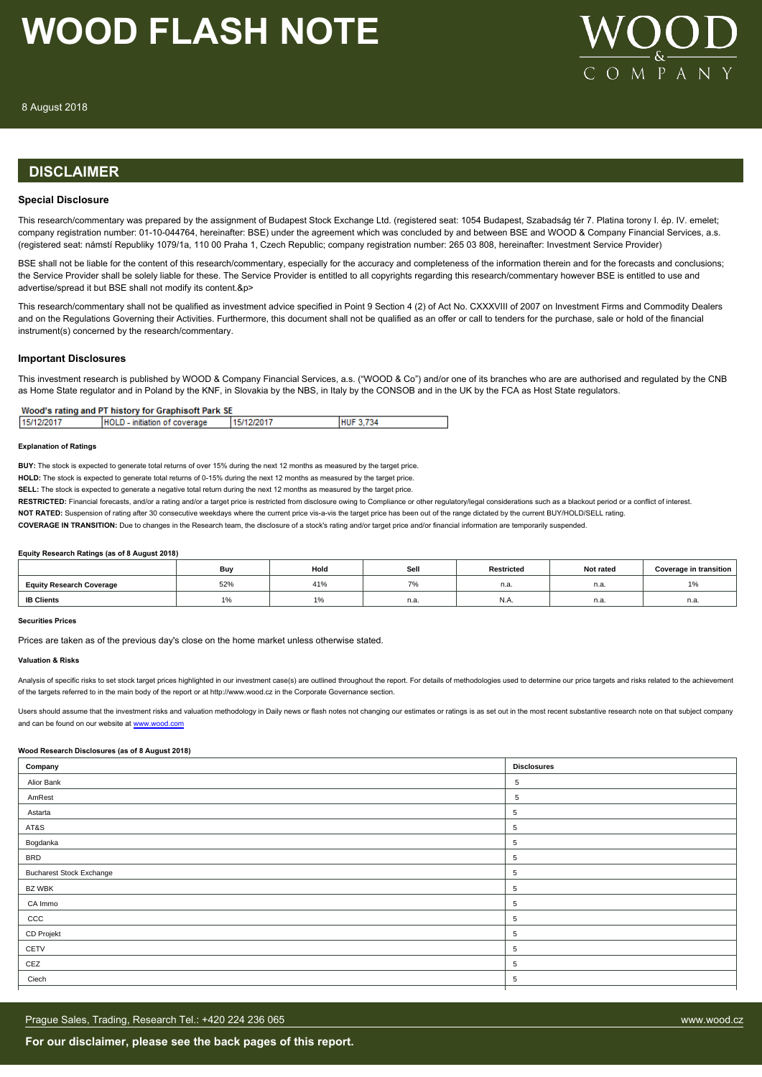

### **DISCLAIMER**

### **Special Disclosure**

This research/commentary was prepared by the assignment of Budapest Stock Exchange Ltd. (registered seat: 1054 Budapest, Szabadság tér 7. Platina torony I. ép. IV. emelet; company registration number: 01-10-044764, hereinafter: BSE) under the agreement which was concluded by and between BSE and WOOD & Company Financial Services, a.s. (registered seat: námstí Republiky 1079/1a, 110 00 Praha 1, Czech Republic; company registration number: 265 03 808, hereinafter: Investment Service Provider)

BSE shall not be liable for the content of this research/commentary, especially for the accuracy and completeness of the information therein and for the forecasts and conclusions; the Service Provider shall be solely liable for these. The Service Provider is entitled to all copyrights regarding this research/commentary however BSE is entitled to use and advertise/spread it but BSE shall not modify its content.&p>

This research/commentary shall not be qualified as investment advice specified in Point 9 Section 4 (2) of Act No. CXXXVIII of 2007 on Investment Firms and Commodity Dealers and on the Regulations Governing their Activities. Furthermore, this document shall not be qualified as an offer or call to tenders for the purchase, sale or hold of the financial instrument(s) concerned by the research/commentary.

### **Important Disclosures**

This investment research is published by WOOD & Company Financial Services, a.s. ("WOOD & Co") and/or one of its branches who are are authorised and regulated by the CNB as Home State regulator and in Poland by the KNF, in Slovakia by the NBS, in Italy by the CONSOB and in the UK by the FCA as Host State regulators.

| 15/12/2017 | HOLD - initiation of coverage | 15/12/2017 | <b>HUF 3.734</b> |
|------------|-------------------------------|------------|------------------|
|            |                               |            |                  |

#### **Explanation of Ratings**

**BUY:** The stock is expected to generate total returns of over 15% during the next 12 months as measured by the target price.

**HOLD:** The stock is expected to generate total returns of 0-15% during the next 12 months as measured by the target price.

**SELL:** The stock is expected to generate a pegative total return during the next 12 months as measured by the target price.

RESTRICTED: Financial forecasts, and/or a rating and/or a target price is restricted from disclosure owing to Compliance or other regulatory/legal considerations such as a blackout period or a conflict of interest.

**NOT RATED:** Suspension of rating after 30 consecutive weekdays where the current price vis-a-vis the target price has been out of the range dictated by the current BUY/HOLD/SELL rating.

**COVERAGE IN TRANSITION:** Due to changes in the Research team, the disclosure of a stock's rating and/or target price and/or financial information are temporarily suspended.

#### **Equity Research Ratings (as of 8 August 2018)**

|                                 | Buv | Hold           | Sel                              | Restricted | Not rated | <b>Coverage in transition</b> |
|---------------------------------|-----|----------------|----------------------------------|------------|-----------|-------------------------------|
| <b>Equity Research Coverage</b> | 52% | 1101<br>$+1/0$ | $\overline{\phantom{a}}$<br>- 70 | n.a.       | n.a.      | 10/<br>$\frac{1}{2}$          |
| <b>IB Clients</b>               | 1%  | $1\%$          | n.a.                             | N.A.       | n.a.      | n.a.                          |

### **Securities Prices**

Prices are taken as of the previous day's close on the home market unless otherwise stated.

#### **Valuation & Risks**

Analysis of specific risks to set stock target prices highlighted in our investment case(s) are outlined throughout the report. For details of methodologies used to determine our price targets and risks related to the achi of the targets referred to in the main body of the report or at http://www.wood.cz in the Corporate Governance section.

Users should assume that the investment risks and valuation methodology in Daily news or flash notes not changing our estimates or ratings is as set out in the most recent substantive research note on that subject company and can be found on our website at [www.wood.com](https://research.wood.cz)

### **Wood Research Disclosures (as of 8 August 2018)**

| Company                         | <b>Disclosures</b> |
|---------------------------------|--------------------|
| Alior Bank                      | 5                  |
| AmRest                          | 5                  |
| Astarta                         | 5                  |
| AT&S                            | 5                  |
| Bogdanka                        | 5                  |
| <b>BRD</b>                      | $5\phantom{.0}$    |
| <b>Bucharest Stock Exchange</b> | $\overline{5}$     |
| BZ WBK                          | 5                  |
| CA Immo                         | 5                  |
| CCC                             | $\overline{5}$     |
| CD Projekt                      | 5                  |
| CETV                            | 5                  |
| CEZ                             | $\overline{5}$     |
| Ciech                           | 5                  |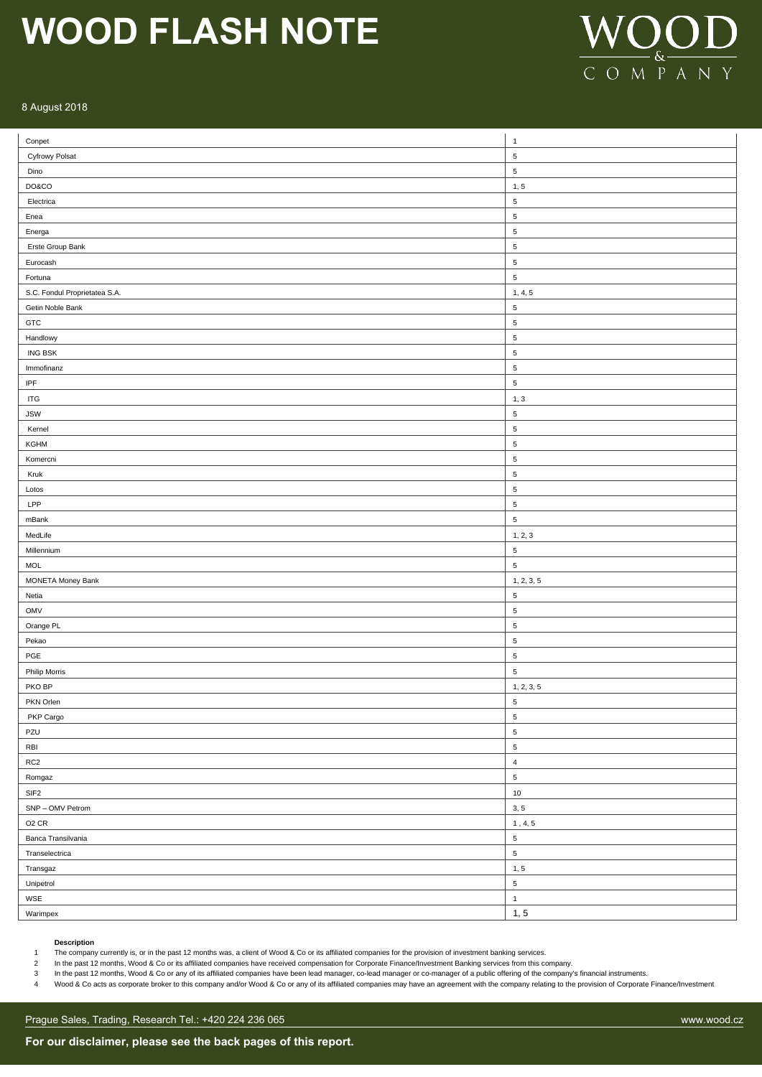

### 8 August 2018

| Conpet                        | $\overline{1}$          |
|-------------------------------|-------------------------|
| Cyfrowy Polsat                | $\sqrt{5}$              |
| Dino                          | $\sqrt{5}$              |
| DO&CO                         | 1, 5                    |
| Electrica                     | $\sqrt{5}$              |
| Enea                          | $\sqrt{5}$              |
| Energa                        | $\sqrt{5}$              |
| Erste Group Bank              | $\sqrt{5}$              |
| Eurocash                      | $\sqrt{5}$              |
| Fortuna                       | $\sqrt{5}$              |
| S.C. Fondul Proprietatea S.A. | 1, 4, 5                 |
| Getin Noble Bank              | $\,$ 5 $\,$             |
| GTC                           | $\sqrt{5}$              |
| Handlowy                      | $\sqrt{5}$              |
| ING BSK                       | $\sqrt{5}$              |
| Immofinanz                    | $\sqrt{5}$              |
| $\ensuremath{\mathsf{IPF}}$   | $\,$ 5 $\,$             |
| $\ensuremath{\mathsf{ITG}}$   | 1, 3                    |
| <b>JSW</b>                    | $\,$ 5 $\,$             |
| Kernel                        | 5                       |
| KGHM                          | $\sqrt{5}$              |
| Komercni                      | 5                       |
| Kruk                          | $\sqrt{5}$              |
| Lotos                         | $\sqrt{5}$              |
| LPP                           | $\sqrt{5}$              |
| mBank                         | $\sqrt{5}$              |
| MedLife                       | 1, 2, 3                 |
| Millennium                    | $\sqrt{5}$              |
| <b>MOL</b>                    | $\sqrt{5}$              |
| MONETA Money Bank             | 1, 2, 3, 5              |
| Netia                         | $\sqrt{5}$              |
| OMV                           | $\sqrt{5}$              |
| Orange PL                     | $\,$ 5 $\,$             |
| Pekao                         | $\sqrt{5}$              |
| PGE                           | $\,$ 5 $\,$             |
| Philip Morris                 | $\,$ 5 $\,$             |
| PKO BP                        | 1, 2, 3, 5              |
| PKN Orlen                     | $\overline{\mathbf{5}}$ |
| PKP Cargo                     | $\,$ 5 $\,$             |
| PZU                           | $\,$ 5 $\,$             |
| RBI                           | $\,$ 5 $\,$             |
| RC <sub>2</sub>               | $\overline{4}$          |
| Romgaz                        | $\,$ 5 $\,$             |
| SIF <sub>2</sub>              | $10$                    |
| SNP - OMV Petrom              | 3, 5                    |
| O <sub>2</sub> CR             | 1, 4, 5                 |
| Banca Transilvania            | $\,$ 5 $\,$             |
| Transelectrica                | $\sqrt{5}$              |
| Transgaz                      | 1, 5                    |
| Unipetrol                     | $\sqrt{5}$              |
| WSE                           | $\mathbf{1}$            |
| Warimpex                      | 1, 5                    |
|                               |                         |

#### **Description**

1 The company currently is, or in the past 12 months was, a client of Wood & Co or its affiliated companies for the provision of investment banking services.

2 In the past 12 months, Wood & Co or its affiliated companies have received compensation for Corporate Finance/Investment Banking services from this company.

13 In the past 12 months, Wood & Co or any of its affiliated companies have been lead manager, co-lead manager or co-manager of a public offering of the company's financial instruments.<br>4 Wood & Co acts as corporate broker Wood & Co acts as corporate broker to this company and/or Wood & Co or any of its affiliated companies may have an agreement with the company relating to the provision of Corporate Finance/Investment

Prague Sales, Trading, Research Tel.: +420 224 236 065 www.wood.cz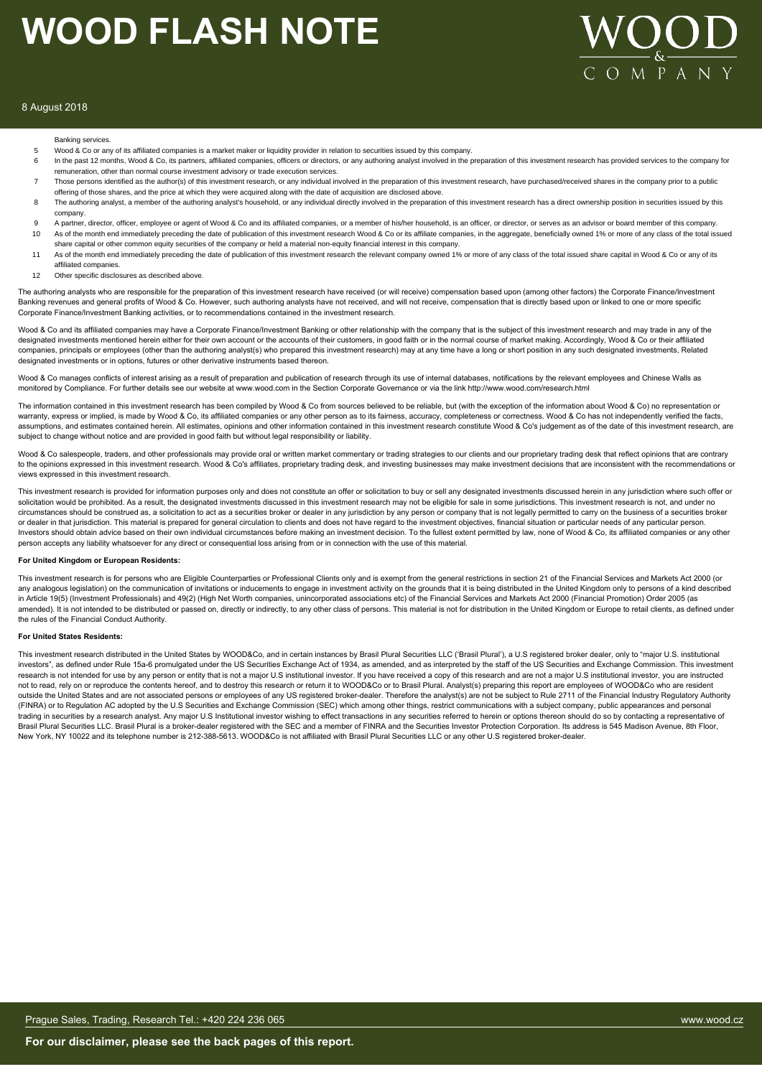

### 8 August 2018

#### Banking services.

- 5 Wood & Co or any of its affiliated companies is a market maker or liquidity provider in relation to securities issued by this company.
- 6 In the past 12 months, Wood & Co, its partners, affiliated companies, officers or directors, or any authoring analyst involved in the preparation of this investment research has provided services to the company for remuneration, other than normal course investment advisory or trade execution services.
- 7 Those persons identified as the author(s) of this investment research, or any individual involved in the preparation of this investment research, have purchased/received shares in the company prior to a public offering of those shares, and the price at which they were acquired along with the date of acquisition are disclosed above.
- 8 The authoring analyst, a member of the authoring analyst's household, or any individual directly involved in the preparation of this investment research has a direct ownership position in securities issued by this company.
- 9 A partner, director, officer, employee or agent of Wood & Co and its affiliated companies, or a member of his/her household, is an officer, or director, or serves as an advisor or board member of this company.<br>10 As of t As of the month end immediately preceding the date of publication of this investment research Wood & Co or its affiliate companies, in the aggregate, beneficially owned 1% or more of any class of the total issued
- share capital or other common equity securities of the company or held a material non-equity financial interest in this company. 11 As of the month end immediately preceding the date of publication of this investment research the relevant company owned 1% or more of any class of the total issued share capital in Wood & Co or any of its affiliated companies.
- 12 Other specific disclosures as described above

The authoring analysts who are responsible for the preparation of this investment research have received (or will receive) compensation based upon (among other factors) the Corporate Finance/Investment Banking revenues and general profits of Wood & Co. However, such authoring analysts have not received, and will not receive, compensation that is directly based upon or linked to one or more specific Corporate Finance/Investment Banking activities, or to recommendations contained in the investment research.

Wood & Co and its affiliated companies may have a Corporate Finance/Investment Banking or other relationship with the company that is the subject of this investment research and may trade in any of the designated investments mentioned herein either for their own account or the accounts of their customers, in good faith or in the normal course of market making. Accordingly, Wood & Co or their affiliated companies, principals or employees (other than the authoring analyst(s) who prepared this investment research) may at any time have a long or short position in any such designated investments, Related designated investments or in options, futures or other derivative instruments based thereon.

Wood & Co manages conflicts of interest arising as a result of preparation and publication of research through its use of internal databases, notifications by the relevant employees and Chinese Walls as monitored by Compliance. For further details see our website at www.wood.com in the Section Corporate Governance or via the link http://www.wood.com/research.html

The information contained in this investment research has been compiled by Wood & Co from sources believed to be reliable, but (with the exception of the information about Wood & Co) no representation or warranty, express or implied, is made by Wood & Co, its affiliated companies or any other person as to its fairness, accuracy, completeness or correctness. Wood & Co has not independently verified the facts, assumptions, and estimates contained herein. All estimates, opinions and other information contained in this investment research constitute Wood & Co's judgement as of the date of this investment research, are subject to change without notice and are provided in good faith but without legal responsibility or liability.

Wood & Co salespeople, traders, and other professionals may provide oral or written market commentary or trading strategies to our clients and our proprietary trading desk that reflect opinions that are contrary to the opinions expressed in this investment research. Wood & Co's affiliates, proprietary trading desk, and investing businesses may make investment decisions that are inconsistent with the recommendations or views expressed in this investment research.

This investment research is provided for information purposes only and does not constitute an offer or solicitation to buy or sell any designated investments discussed herein in any jurisdiction where such offer or solicitation would be prohibited. As a result, the designated investments discussed in this investment research may not be eligible for sale in some jurisdictions. This investment research is not, and under no circumstances should be construed as, a solicitation to act as a securities broker or dealer in any jurisdiction by any person or company that is not legally permitted to carry on the business of a securities broker or dealer in that jurisdiction. This material is prepared for general circulation to clients and does not have regard to the investment objectives, financial situation or particular needs of any particular person. Investors should obtain advice based on their own individual circumstances before making an investment decision. To the fullest extent permitted by law, none of Wood & Co, its affiliated companies or any other person accepts any liability whatsoever for any direct or consequential loss arising from or in connection with the use of this material.

#### **For United Kingdom or European Residents:**

This investment research is for persons who are Eligible Counterparties or Professional Clients only and is exempt from the general restrictions in section 21 of the Financial Services and Markets Act 2000 (or any analogous legislation) on the communication of invitations or inducements to engage in investment activity on the grounds that it is being distributed in the United Kingdom only to persons of a kind described in Article 19(5) (Investment Professionals) and 49(2) (High Net Worth companies, unincorporated associations etc) of the Financial Services and Markets Act 2000 (Financial Promotion) Order 2005 (as amended). It is not intended to be distributed or passed on, directly or indirectly, to any other class of persons. This material is not for distribution in the United Kingdom or Europe to retail clients, as defined under the rules of the Financial Conduct Authority.

#### **For United States Residents:**

This investment research distributed in the United States by WOOD&Co, and in certain instances by Brasil Plural Securities LLC ('Brasil Plural'), a U.S registered broker dealer, only to "major U.S. institutional investors", as defined under Rule 15a-6 promulgated under the US Securities Exchange Act of 1934, as amended, and as interpreted by the staff of the US Securities and Exchange Commission. This investment research is not intended for use by any person or entity that is not a major U.S institutional investor. If you have received a copy of this research and are not a major U.S institutional investor, you are instructed not to read, rely on or reproduce the contents hereof, and to destroy this research or return it to WOOD&Co or to Brasil Plural. Analyst(s) preparing this report are employees of WOOD&Co who are resident outside the United States and are not associated persons or employees of any US registered broker-dealer. Therefore the analyst(s) are not be subject to Rule 2711 of the Financial Industry Regulatory Authority (FINRA) or to Regulation AC adopted by the U.S Securities and Exchange Commission (SEC) which among other things, restrict communications with a subject company, public appearances and personal trading in securities by a research analyst. Any major U.S Institutional investor wishing to effect transactions in any securities referred to herein or options thereon should do so by contacting a representative of Brasil Plural Securities LLC. Brasil Plural is a broker-dealer registered with the SEC and a member of FINRA and the Securities Investor Protection Corporation. Its address is 545 Madison Avenue, 8th Floor, New York, NY 10022 and its telephone number is 212-388-5613. WOOD&Co is not affiliated with Brasil Plural Securities LLC or any other U.S registered broker-dealer.